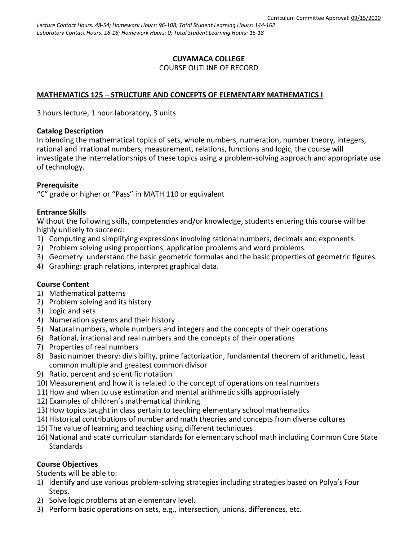### **CUYAMACA COLLEGE** COURSE OUTLINE OF RECORD

# **MATHEMATICS 125** – **STRUCTURE AND CONCEPTS OF ELEMENTARY MATHEMATICS I**

3 hours lecture, 1 hour laboratory, 3 units

### **Catalog Description**

In blending the mathematical topics of sets, whole numbers, numeration, number theory, integers, rational and irrational numbers, measurement, relations, functions and logic, the course will investigate the interrelationships of these topics using a problem-solving approach and appropriate use of technology.

## **Prerequisite**

"C" grade or higher or "Pass" in MATH 110 or equivalent

### **Entrance Skills**

Without the following skills, competencies and/or knowledge, students entering this course will be highly unlikely to succeed:

- 1) Computing and simplifying expressions involving rational numbers, decimals and exponents.
- 2) Problem solving using proportions, application problems and word problems.
- 3) Geometry: understand the basic geometric formulas and the basic properties of geometric figures.
- 4) Graphing: graph relations, interpret graphical data.

### **Course Content**

- 1) Mathematical patterns
- 2) Problem solving and its history
- 3) Logic and sets
- 4) Numeration systems and their history
- 5) Natural numbers, whole numbers and integers and the concepts of their operations
- 6) Rational, irrational and real numbers and the concepts of their operations
- 7) Properties of real numbers
- 8) Basic number theory: divisibility, prime factorization, fundamental theorem of arithmetic, least common multiple and greatest common divisor
- 9) Ratio, percent and scientific notation
- 10) Measurement and how it is related to the concept of operations on real numbers
- 11) How and when to use estimation and mental arithmetic skills appropriately
- 12) Examples of children's mathematical thinking
- 13) How topics taught in class pertain to teaching elementary school mathematics
- 14) Historical contributions of number and math theories and concepts from diverse cultures
- 15) The value of learning and teaching using different techniques
- 16) National and state curriculum standards for elementary school math including Common Core State **Standards**

### **Course Objectives**

Students will be able to:

- 1) Identify and use various problem-solving strategies including strategies based on Polya's Four Steps.
- 2) Solve logic problems at an elementary level.
- 3) Perform basic operations on sets, e.g., intersection, unions, differences, etc.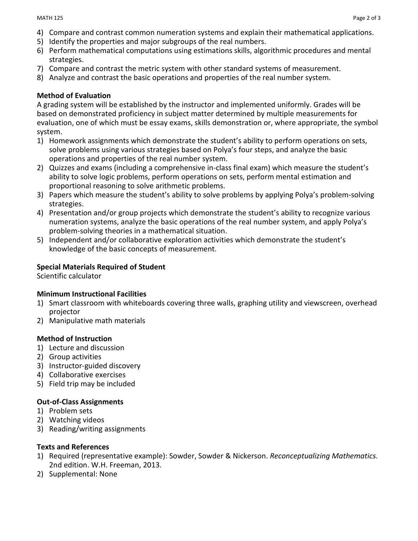- 4) Compare and contrast common numeration systems and explain their mathematical applications.
- 5) Identify the properties and major subgroups of the real numbers.
- 6) Perform mathematical computations using estimations skills, algorithmic procedures and mental strategies.
- 7) Compare and contrast the metric system with other standard systems of measurement.
- 8) Analyze and contrast the basic operations and properties of the real number system.

## **Method of Evaluation**

A grading system will be established by the instructor and implemented uniformly. Grades will be based on demonstrated proficiency in subject matter determined by multiple measurements for evaluation, one of which must be essay exams, skills demonstration or, where appropriate, the symbol system.

- 1) Homework assignments which demonstrate the student's ability to perform operations on sets, solve problems using various strategies based on Polya's four steps, and analyze the basic operations and properties of the real number system.
- 2) Quizzes and exams (including a comprehensive in-class final exam) which measure the student's ability to solve logic problems, perform operations on sets, perform mental estimation and proportional reasoning to solve arithmetic problems.
- 3) Papers which measure the student's ability to solve problems by applying Polya's problem-solving strategies.
- 4) Presentation and/or group projects which demonstrate the student's ability to recognize various numeration systems, analyze the basic operations of the real number system, and apply Polya's problem-solving theories in a mathematical situation.
- 5) Independent and/or collaborative exploration activities which demonstrate the student's knowledge of the basic concepts of measurement.

## **Special Materials Required of Student**

Scientific calculator

### **Minimum Instructional Facilities**

- 1) Smart classroom with whiteboards covering three walls, graphing utility and viewscreen, overhead projector
- 2) Manipulative math materials

# **Method of Instruction**

- 1) Lecture and discussion
- 2) Group activities
- 3) Instructor-guided discovery
- 4) Collaborative exercises
- 5) Field trip may be included

# **Out-of-Class Assignments**

- 1) Problem sets
- 2) Watching videos
- 3) Reading/writing assignments

### **Texts and References**

- 1) Required (representative example): Sowder, Sowder & Nickerson. *Reconceptualizing Mathematics*. 2nd edition. W.H. Freeman, 2013.
- 2) Supplemental: None